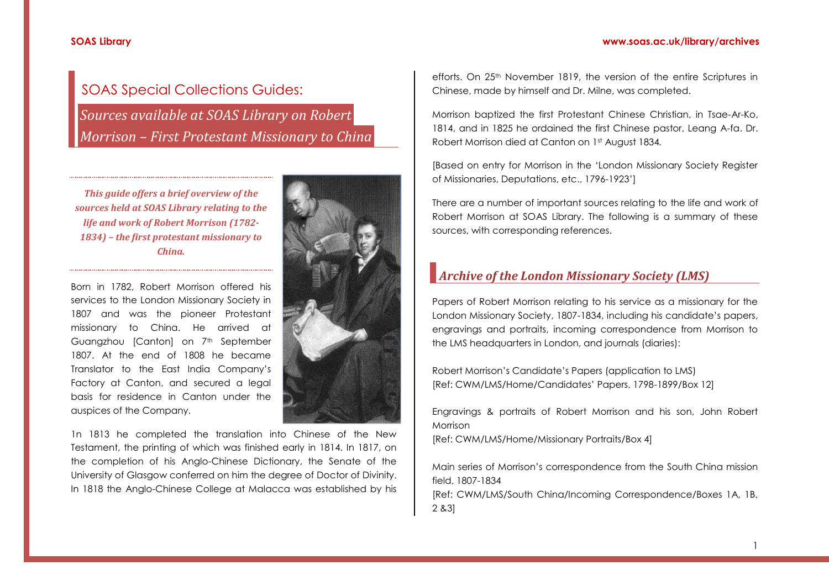# SOAS Special Collections Guides: *Sources available at SOAS Library on Robert Morrison – First Protestant Missionary to China*

*This guide offers a brief overview of the sources held at SOAS Library relating to the life and work of Robert Morrison (1782- 1834) – the first protestant missionary to China.*

Born in 1782, Robert Morrison offered his services to the London Missionary Society in 1807 and was the pioneer Protestant missionary to China. He arrived at Guangzhou [Canton] on 7<sup>th</sup> September 1807. At the end of 1808 he became Translator to the East India Company's Factory at Canton, and secured a legal basis for residence in Canton under the auspices of the Company.

1n 1813 he completed the translation into Chinese of the New Testament, the printing of which was finished early in 1814. In 1817, on the completion of his Anglo-Chinese Dictionary, the Senate of the University of Glasgow conferred on him the degree of Doctor of Divinity. In 1818 the Anglo-Chinese College at Malacca was established by his



efforts. On 25<sup>th</sup> November 1819, the version of the entire Scriptures in Chinese, made by himself and Dr. Milne, was completed.

Morrison baptized the first Protestant Chinese Christian, in Tsae-Ar-Ko, 1814, and in 1825 he ordained the first Chinese pastor, Leang A-fa. Dr. Robert Morrison died at Canton on 1st August 1834*.*

[Based on entry for Morrison in the 'London Missionary Society Register of Missionaries, Deputations, etc., 1796-1923']

There are a number of important sources relating to the life and work of Robert Morrison at SOAS Library. The following is a summary of these sources, with corresponding references.

## *Archive of the London Missionary Society (LMS)*

Papers of Robert Morrison relating to his service as a missionary for the London Missionary Society, 1807-1834, including his candidate's papers, engravings and portraits, incoming correspondence from Morrison to the LMS headquarters in London, and journals (diaries):

Robert Morrison's Candidate's Papers (application to LMS) [Ref: CWM/LMS/Home/Candidates' Papers, 1798-1899/Box 12]

Engravings & portraits of Robert Morrison and his son, John Robert Morrison

[Ref: CWM/LMS/Home/Missionary Portraits/Box 4]

Main series of Morrison's correspondence from the South China mission field, 1807-1834 [Ref: CWM/LMS/South China/Incoming Correspondence/Boxes 1A, 1B, 2 &3]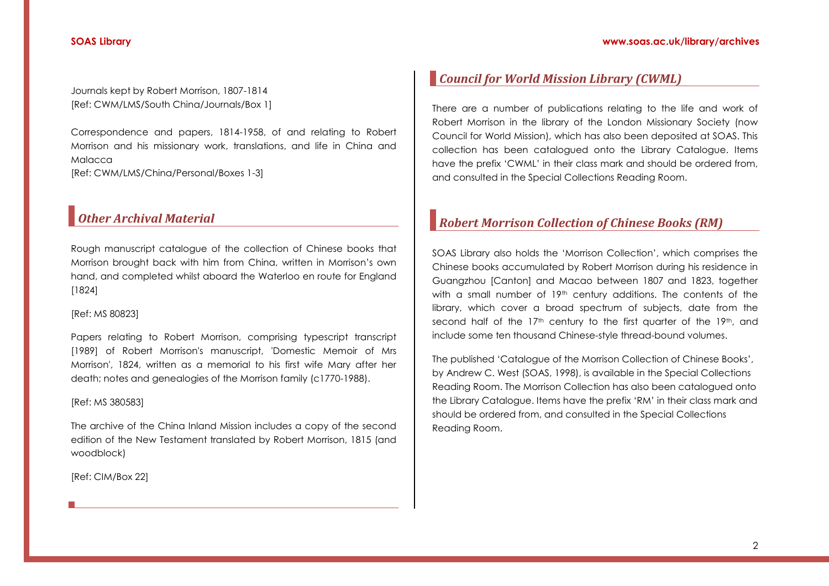Journals kept by Robert Morrison, 1807-1814 [Ref: CWM/LMS/South China/Journals/Box 1]

Correspondence and papers, 1814-1958, of and relating to Robert Morrison and his missionary work, translations, and life in China and Malacca

[Ref: CWM/LMS/China/Personal/Boxes 1-3]

# *Other Archival Material*

Rough manuscript catalogue of the collection of Chinese books that Morrison brought back with him from China, written in Morrison's own hand, and completed whilst aboard the Waterloo en route for England [1824]

### [Ref: MS 80823]

Papers relating to Robert Morrison, comprising typescript transcript [1989] of Robert Morrison's manuscript, 'Domestic Memoir of Mrs Morrison', 1824, written as a memorial to his first wife Mary after her death; notes and genealogies of the Morrison family (c1770-1988).

### [Ref: MS 380583]

The archive of the China Inland Mission includes a copy of the second edition of the New Testament translated by Robert Morrison, 1815 (and woodblock)

[Ref: CIM/Box 22]

## *Council for World Mission Library (CWML)*

There are a number of publications relating to the life and work of Robert Morrison in the library of the London Missionary Society (now Council for World Mission), which has also been deposited at SOAS. This collection has been catalogued onto the Library Catalogue. Items have the prefix 'CWML' in their class mark and should be ordered from, and consulted in the Special Collections Reading Room.

# *Robert Morrison Collection of Chinese Books (RM)*

SOAS Library also holds the 'Morrison Collection', which comprises the Chinese books accumulated by Robert Morrison during his residence in Guangzhou [Canton] and Macao between 1807 and 1823, together with a small number of 19<sup>th</sup> century additions. The contents of the library, which cover a broad spectrum of subjects, date from the second half of the 17<sup>th</sup> century to the first quarter of the 19<sup>th</sup>, and include some ten thousand Chinese-style thread-bound volumes.

The published 'Catalogue of the Morrison Collection of Chinese Books', by Andrew C. West (SOAS, 1998), is available in the Special Collections Reading Room. The Morrison Collection has also been catalogued onto the Library Catalogue. Items have the prefix 'RM' in their class mark and should be ordered from, and consulted in the Special Collections Reading Room.